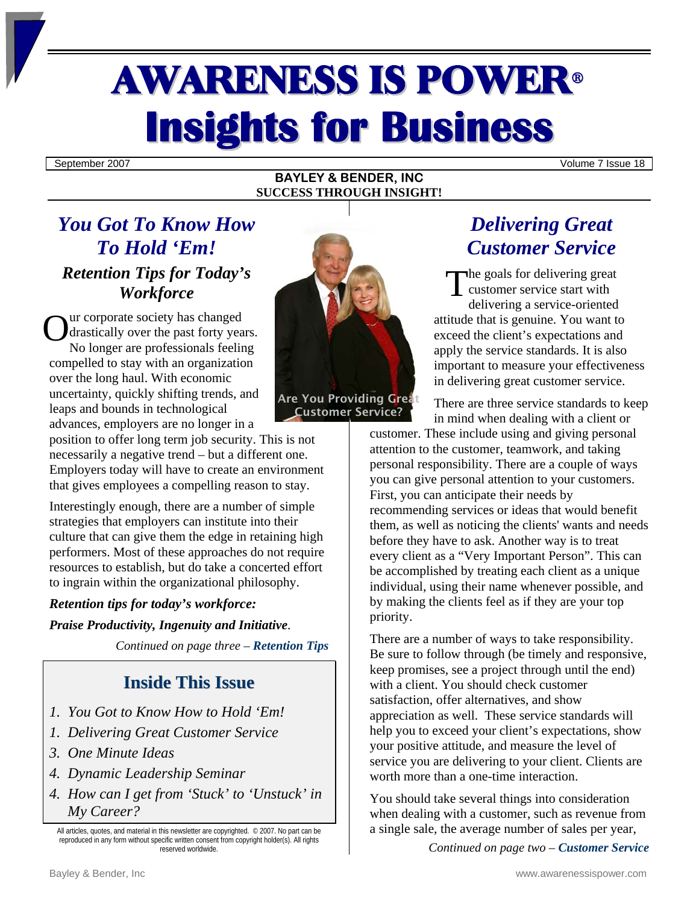# AWARENESS IS POWER<sup>ü</sup> **Insights for Business**

September 2007 Volume 7 Issue 18

## **BAYLEY & BENDER, INC SUCCESS THROUGH INSIGHT!**

# *You Got To Know How To Hold 'Em! Retention Tips for Today's Workforce*

ur corporate society has changed drastically over the past forty years. No longer are professionals feeling compelled to stay with an organization over the long haul. With economic uncertainty, quickly shifting trends, and leaps and bounds in technological advances, employers are no longer in a  $\mathbf{O}^{\text{un}}_{\text{d}n}$ 

position to offer long term job security. This is not necessarily a negative trend – but a different one. Employers today will have to create an environment that gives employees a compelling reason to stay.

Interestingly enough, there are a number of simple strategies that employers can institute into their culture that can give them the edge in retaining high performers. Most of these approaches do not require resources to establish, but do take a concerted effort to ingrain within the organizational philosophy.

## *Retention tips for today's workforce:*

*Praise Productivity, Ingenuity and Initiative*.

*Continued on page three – Retention Tips*

# **Inside This Issue**

- *1. You Got to Know How to Hold 'Em!*
- *1. Delivering Great Customer Service*
- *3. One Minute Ideas*
- *4. Dynamic Leadership Seminar*
- *4. How can I get from 'Stuck' to 'Unstuck' in My Career?*

All articles, quotes, and material in this newsletter are copyrighted. © 2007. No part can be reproduced in any form without specific written consent from copyright holder(s). All rights reserved worldwide.



Customer Service?

*Delivering Great Customer Service* 

he goals for delivering great customer service start with delivering a service-oriented attitude that is genuine. You want to exceed the client's expectations and apply the service standards. It is also important to measure your effectiveness in delivering great customer service. T

There are three service standards to keep in mind when dealing with a client or

customer. These include using and giving personal attention to the customer, teamwork, and taking personal responsibility. There are a couple of ways you can give personal attention to your customers. First, you can anticipate their needs by recommending services or ideas that would benefit them, as well as noticing the clients' wants and needs before they have to ask. Another way is to treat every client as a "Very Important Person". This can be accomplished by treating each client as a unique individual, using their name whenever possible, and by making the clients feel as if they are your top priority.

There are a number of ways to take responsibility. Be sure to follow through (be timely and responsive, keep promises, see a project through until the end) with a client. You should check customer satisfaction, offer alternatives, and show appreciation as well. These service standards will help you to exceed your client's expectations, show your positive attitude, and measure the level of service you are delivering to your client. Clients are worth more than a one-time interaction.

You should take several things into consideration when dealing with a customer, such as revenue from a single sale, the average number of sales per year,

*Continued on page two – Customer Service*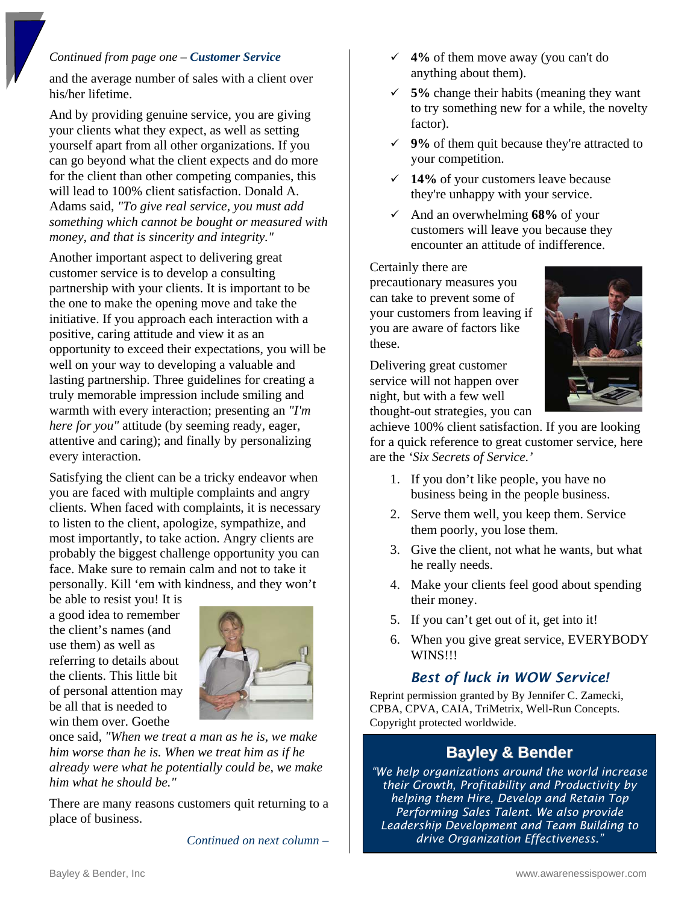## *Continued from page one – Customer Service*

and the average number of sales with a client over his/her lifetime.

And by providing genuine service, you are giving your clients what they expect, as well as setting yourself apart from all other organizations. If you can go beyond what the client expects and do more for the client than other competing companies, this will lead to 100% client satisfaction. Donald A. Adams said, *"To give real service, you must add something which cannot be bought or measured with money, and that is sincerity and integrity."* 

Another important aspect to delivering great customer service is to develop a consulting partnership with your clients. It is important to be the one to make the opening move and take the initiative. If you approach each interaction with a positive, caring attitude and view it as an opportunity to exceed their expectations, you will be well on your way to developing a valuable and lasting partnership. Three guidelines for creating a truly memorable impression include smiling and warmth with every interaction; presenting an *"I'm here for you"* attitude (by seeming ready, eager, attentive and caring); and finally by personalizing every interaction.

Satisfying the client can be a tricky endeavor when you are faced with multiple complaints and angry clients. When faced with complaints, it is necessary to listen to the client, apologize, sympathize, and most importantly, to take action. Angry clients are probably the biggest challenge opportunity you can face. Make sure to remain calm and not to take it personally. Kill 'em with kindness, and they won't

be able to resist you! It is a good idea to remember the client's names (and use them) as well as referring to details about the clients. This little bit of personal attention may be all that is needed to win them over. Goethe



once said*, "When we treat a man as he is, we make him worse than he is. When we treat him as if he already were what he potentially could be, we make him what he should be."* 

There are many reasons customers quit returning to a place of business.

*Continued on next column –* 

- $\checkmark$  4% of them move away (you can't do anything about them).
- $\checkmark$  5% change their habits (meaning they want to try something new for a while, the novelty factor).
- $\checkmark$  9% of them quit because they're attracted to your competition.
- 9 **14%** of your customers leave because they're unhappy with your service.
- $\checkmark$  And an overwhelming **68%** of your customers will leave you because they encounter an attitude of indifference.

#### Certainly there are

precautionary measures you can take to prevent some of your customers from leaving if you are aware of factors like these.

Delivering great customer service will not happen over night, but with a few well thought-out strategies, you can



achieve 100% client satisfaction. If you are looking for a quick reference to great customer service, here are the *'Six Secrets of Service.'*

- 1. If you don't like people, you have no business being in the people business.
- 2. Serve them well, you keep them. Service them poorly, you lose them.
- 3. Give the client, not what he wants, but what he really needs.
- 4. Make your clients feel good about spending their money.
- 5. If you can't get out of it, get into it!
- 6. When you give great service, EVERYBODY WINS!!!

# *Best of luck in WOW Service!*

Reprint permission granted by By Jennifer C. Zamecki, CPBA, CPVA, CAIA, TriMetrix, Well-Run Concepts. Copyright protected worldwide.

# **Bayley & Bender**

*"We help organizations around the world increase their Growth, Profitability and Productivity by helping them Hire, Develop and Retain Top Performing Sales Talent. We also provide Leadership Development and Team Building to drive Organization Effectiveness."*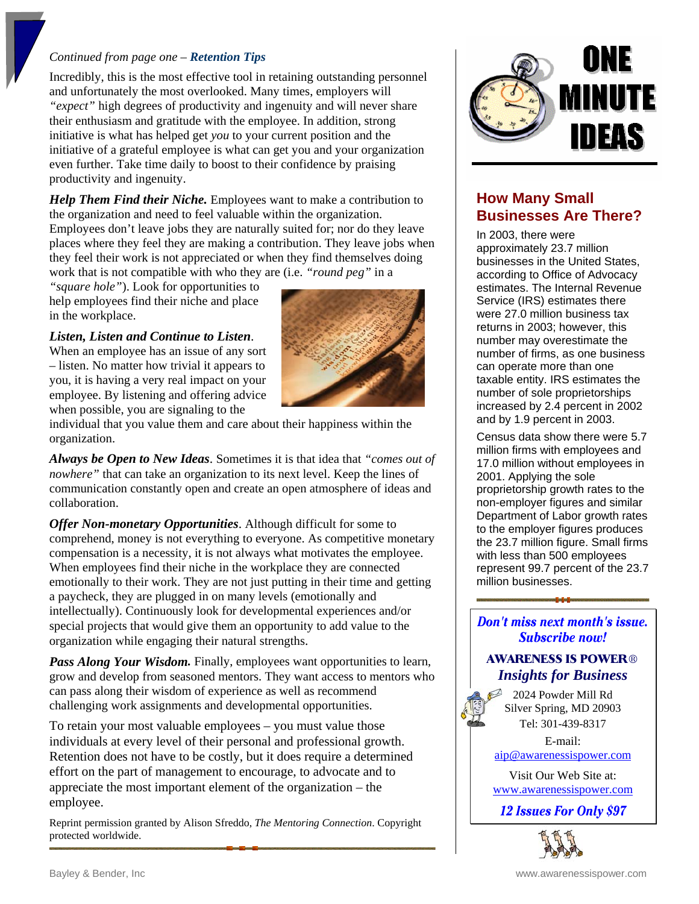#### *Continued from page one – Retention Tips*

Incredibly, this is the most effective tool in retaining outstanding personnel and unfortunately the most overlooked. Many times, employers will *"expect"* high degrees of productivity and ingenuity and will never share their enthusiasm and gratitude with the employee. In addition, strong initiative is what has helped get *you* to your current position and the initiative of a grateful employee is what can get you and your organization even further. Take time daily to boost to their confidence by praising productivity and ingenuity.

*Help Them Find their Niche.* Employees want to make a contribution to the organization and need to feel valuable within the organization. Employees don't leave jobs they are naturally suited for; nor do they leave places where they feel they are making a contribution. They leave jobs when they feel their work is not appreciated or when they find themselves doing work that is not compatible with who they are (i.e. *"round peg"* in a

*"square hole"*). Look for opportunities to help employees find their niche and place in the workplace.

#### *Listen, Listen and Continue to Listen*.

When an employee has an issue of any sort – listen. No matter how trivial it appears to you, it is having a very real impact on your employee. By listening and offering advice when possible, you are signaling to the



individual that you value them and care about their happiness within the organization.

*Always be Open to New Ideas*. Sometimes it is that idea that *"comes out of nowhere"* that can take an organization to its next level. Keep the lines of communication constantly open and create an open atmosphere of ideas and collaboration.

*Offer Non-monetary Opportunities*. Although difficult for some to comprehend, money is not everything to everyone. As competitive monetary compensation is a necessity, it is not always what motivates the employee. When employees find their niche in the workplace they are connected emotionally to their work. They are not just putting in their time and getting a paycheck, they are plugged in on many levels (emotionally and intellectually). Continuously look for developmental experiences and/or special projects that would give them an opportunity to add value to the organization while engaging their natural strengths.

**Pass Along Your Wisdom.** Finally, employees want opportunities to learn, grow and develop from seasoned mentors. They want access to mentors who can pass along their wisdom of experience as well as recommend challenging work assignments and developmental opportunities.

To retain your most valuable employees – you must value those individuals at every level of their personal and professional growth. Retention does not have to be costly, but it does require a determined effort on the part of management to encourage, to advocate and to appreciate the most important element of the organization – the employee.

Reprint permission granted by Alison Sfreddo, *The Mentoring Connection*. Copyright protected worldwide.



# **How Many Small Businesses Are There?**

In 2003, there were approximately 23.7 million businesses in the United States, according to Office of Advocacy estimates. The Internal Revenue Service (IRS) estimates there were 27.0 million business tax returns in 2003; however, this number may overestimate the number of firms, as one business can operate more than one taxable entity. IRS estimates the number of sole proprietorships increased by 2.4 percent in 2002 and by 1.9 percent in 2003.

Census data show there were 5.7 million firms with employees and 17.0 million without employees in 2001. Applying the sole proprietorship growth rates to the non-employer figures and similar Department of Labor growth rates to the employer figures produces the 23.7 million figure. Small firms with less than 500 employees represent 99.7 percent of the 23.7 million businesses.

# Don't miss next month's issue. **Subscribe now!**

# **AWARENESS IS POWER®** *Insights for Business*

2024 Powder Mill Rd Silver Spring, MD 20903 Tel: 301-439-8317

E-mail: [aip@awarenessispower.com](mailto: aip@awarenessispower.com)

Visit Our Web Site at: <www.awarenessispower.com>

12 **Issues For Only \$97**